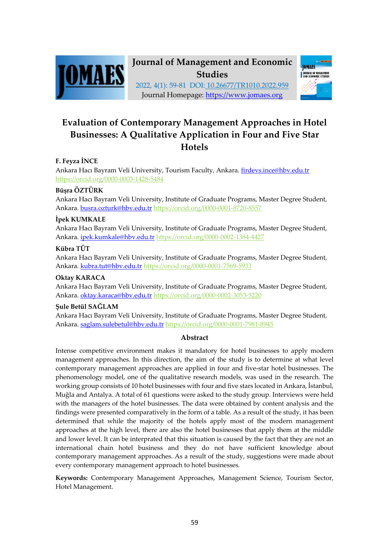

## **Journal of Management and Economic Studies**



2022, 4(1): 59-81 DOI: 10.26677/TR1010.2022.959 Journal Homepage: https://www.jomaes.org

# **Evaluation of Contemporary Management Approaches in Hotel Businesses: A Qualitative Application in Four and Five Star Hotels**

#### **F. Feyza İNCE**

Ankara Hacı Bayram Veli University, Tourism Faculty, Ankara. firdevs.ince@hbv.edu.tr https://orcid.org/0000-0003-1428-5484

#### **Büşra ÖZTÜRK**

Ankara Hacı Bayram Veli University, Institute of Graduate Programs, Master Degree Student, Ankara. busra.ozturk@hbv.edu.tr https://orcid.org/0000-0001-8720-8557

#### **İpek KUMKALE**

Ankara Hacı Bayram Veli University, Institute of Graduate Programs, Master Degree Student, Ankara. ipek.kumkale@hbv.edu.tr https://orcid.org/0000-0002-1384-4427

#### **Kübra TÜT**

Ankara Hacı Bayram Veli University, Institute of Graduate Programs, Master Degree Student, Ankara. kubra.tut@hbv.edu.tr https://orcid.org/0000-0001-7569-5933

#### **Oktay KARACA**

Ankara Hacı Bayram Veli University, Institute of Graduate Programs, Master Degree Student, Ankara. oktay.karaca@hbv.edu.tr https://orcid.org/0000-0002-3053-5220

#### **Şule Betül SAĞLAM**

Ankara Hacı Bayram Veli University, Institute of Graduate Programs, Master Degree Student, Ankara. saglam.sulebetul@hbv.edu.tr https://orcid.org/0000-0001-7981-8945

## **Abstract**

Intense competitive environment makes it mandatory for hotel businesses to apply modern management approaches. In this direction, the aim of the study is to determine at what level contemporary management approaches are applied in four and five-star hotel businesses. The phenomenology model, one of the qualitative research models, was used in the research. The working group consists of 10 hotel businesses with four and five stars located in Ankara, İstanbul, Muğla and Antalya. A total of 61 questions were asked to the study group. Interviews were held with the managers of the hotel businesses. The data were obtained by content analysis and the findings were presented comparatively in the form of a table. As a result of the study, it has been determined that while the majority of the hotels apply most of the modern management approaches at the high level, there are also the hotel businesses that apply them at the middle and lower level. It can be interprated that this situation is caused by the fact that they are not an international chain hotel business and they do not have sufficient knowledge about contemporary management approaches. As a result of the study, suggestions were made about every contemporary management approach to hotel businesses.

**Keywords:** Contemporary Management Approaches, Management Science, Tourism Sector, Hotel Management.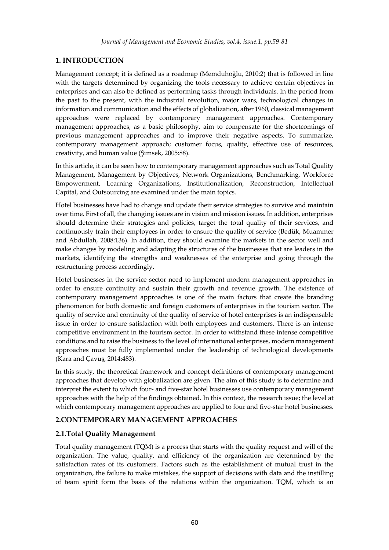## **1. INTRODUCTION**

Management concept; it is defined as a roadmap (Memduhoğlu, 2010:2) that is followed in line with the targets determined by organizing the tools necessary to achieve certain objectives in enterprises and can also be defined as performing tasks through individuals. In the period from the past to the present, with the industrial revolution, major wars, technological changes in information and communication and the effects of globalization, after 1960, classical management approaches were replaced by contemporary management approaches. Contemporary management approaches, as a basic philosophy, aim to compensate for the shortcomings of previous management approaches and to improve their negative aspects. To summarize, contemporary management approach; customer focus, quality, effective use of resources, creativity, and human value (Şimsek, 2005:88).

In this article, it can be seen how to contemporary management approaches such as Total Quality Management, Management by Objectives, Network Organizations, Benchmarking, Workforce Empowerment, Learning Organizations, Institutionalization, Reconstruction, Intellectual Capital, and Outsourcing are examined under the main topics.

Hotel businesses have had to change and update their service strategies to survive and maintain over time. First of all, the changing issues are in vision and mission issues. In addition, enterprises should determine their strategies and policies, target the total quality of their services, and continuously train their employees in order to ensure the quality of service (Bedük, Muammer and Abdullah, 2008:136). In addition, they should examine the markets in the sector well and make changes by modeling and adapting the structures of the businesses that are leaders in the markets, identifying the strengths and weaknesses of the enterprise and going through the restructuring process accordingly.

Hotel businesses in the service sector need to implement modern management approaches in order to ensure continuity and sustain their growth and revenue growth. The existence of contemporary management approaches is one of the main factors that create the branding phenomenon for both domestic and foreign customers of enterprises in the tourism sector. The quality of service and continuity of the quality of service of hotel enterprises is an indispensable issue in order to ensure satisfaction with both employees and customers. There is an intense competitive environment in the tourism sector. In order to withstand these intense competitive conditions and to raise the business to the level of international enterprises, modern management approaches must be fully implemented under the leadership of technological developments (Kara and Çavuş, 2014:483).

In this study, the theoretical framework and concept definitions of contemporary management approaches that develop with globalization are given. The aim of this study is to determine and interpret the extent to which four- and five-star hotel businesses use contemporary management approaches with the help of the findings obtained. In this context, the research issue; the level at which contemporary management approaches are applied to four and five-star hotel businesses.

## **2.CONTEMPORARY MANAGEMENT APPROACHES**

## **2.1.Total Quality Management**

Total quality management (TQM) is a process that starts with the quality request and will of the organization. The value, quality, and efficiency of the organization are determined by the satisfaction rates of its customers. Factors such as the establishment of mutual trust in the organization, the failure to make mistakes, the support of decisions with data and the instilling of team spirit form the basis of the relations within the organization. TQM, which is an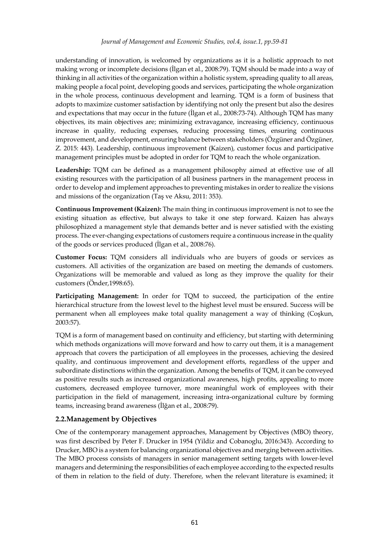understanding of innovation, is welcomed by organizations as it is a holistic approach to not making wrong or incomplete decisions (İlgan et al., 2008:79). TQM should be made into a way of thinking in all activities of the organization within a holistic system, spreading quality to all areas, making people a focal point, developing goods and services, participating the whole organization in the whole process, continuous development and learning. TQM is a form of business that adopts to maximize customer satisfaction by identifying not only the present but also the desires and expectations that may occur in the future (İlgan et al., 2008:73-74). Although TQM has many objectives, its main objectives are; minimizing extravagance, increasing efficiency, continuous increase in quality, reducing expenses, reducing processing times, ensuring continuous improvement, and development, ensuring balance between stakeholders (Özgüner and Özgüner, Z. 2015: 443). Leadership, continuous improvement (Kaizen), customer focus and participative management principles must be adopted in order for TQM to reach the whole organization.

**Leadership:** TQM can be defined as a management philosophy aimed at effective use of all existing resources with the participation of all business partners in the management process in order to develop and implement approaches to preventing mistakes in order to realize the visions and missions of the organization (Taş ve Aksu, 2011: 353).

**Continuous Improvement (Kaizen):** The main thing in continuous improvement is not to see the existing situation as effective, but always to take it one step forward. Kaizen has always philosophized a management style that demands better and is never satisfied with the existing process. The ever-changing expectations of customers require a continuous increase in the quality of the goods or services produced (İlgan et al., 2008:76).

**Customer Focus:** TQM considers all individuals who are buyers of goods or services as customers. All activities of the organization are based on meeting the demands of customers. Organizations will be memorable and valued as long as they improve the quality for their customers (Önder,1998:65).

**Participating Management:** In order for TQM to succeed, the participation of the entire hierarchical structure from the lowest level to the highest level must be ensured. Success will be permanent when all employees make total quality management a way of thinking (Coşkun, 2003:57).

TQM is a form of management based on continuity and efficiency, but starting with determining which methods organizations will move forward and how to carry out them, it is a management approach that covers the participation of all employees in the processes, achieving the desired quality, and continuous improvement and development efforts, regardless of the upper and subordinate distinctions within the organization. Among the benefits of TQM, it can be conveyed as positive results such as increased organizational awareness, high profits, appealing to more customers, decreased employee turnover, more meaningful work of employees with their participation in the field of management, increasing intra-organizational culture by forming teams, increasing brand awareness (İlğan et al., 2008:79).

## **2.2.Management by Objectives**

One of the contemporary management approaches, Management by Objectives (MBO) theory, was first described by Peter F. Drucker in 1954 (Yildiz and Cobanoglu, 2016:343). According to Drucker, MBO is a system for balancing organizational objectives and merging between activities. The MBO process consists of managers in senior management setting targets with lower-level managers and determining the responsibilities of each employee according to the expected results of them in relation to the field of duty. Therefore, when the relevant literature is examined; it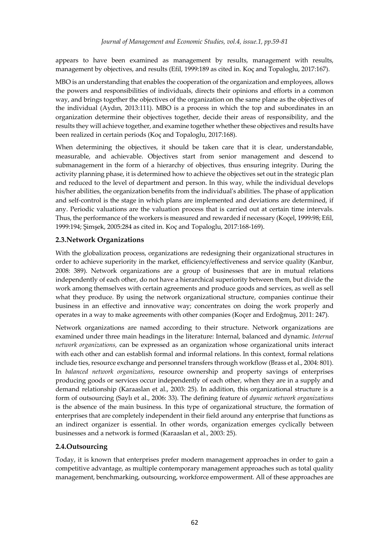appears to have been examined as management by results, management with results, management by objectives, and results (Efil, 1999:189 as cited in. Koç and Topaloglu, 2017:167).

MBO is an understanding that enables the cooperation of the organization and employees, allows the powers and responsibilities of individuals, directs their opinions and efforts in a common way, and brings together the objectives of the organization on the same plane as the objectives of the individual (Aydın, 2013:111). MBO is a process in which the top and subordinates in an organization determine their objectives together, decide their areas of responsibility, and the results they will achieve together, and examine together whether these objectives and results have been realized in certain periods (Koç and Topaloglu, 2017:168).

When determining the objectives, it should be taken care that it is clear, understandable, measurable, and achievable. Objectives start from senior management and descend to submanagement in the form of a hierarchy of objectives, thus ensuring integrity. During the activity planning phase, it is determined how to achieve the objectives set out in the strategic plan and reduced to the level of department and person. In this way, while the individual develops his/her abilities, the organization benefits from the individual's abilities. The phase of application and self-control is the stage in which plans are implemented and deviations are determined, if any. Periodic valuations are the valuation process that is carried out at certain time intervals. Thus, the performance of the workers is measured and rewarded if necessary (Koçel, 1999:98; Efil, 1999:194; Şimşek, 2005:284 as cited in. Koç and Topaloglu, 2017:168-169).

## **2.3.Network Organizations**

With the globalization process, organizations are redesigning their organizational structures in order to achieve superiority in the market, efficiency/effectiveness and service quality (Kanbur, 2008: 389). Network organizations are a group of businesses that are in mutual relations independently of each other, do not have a hierarchical superiority between them, but divide the work among themselves with certain agreements and produce goods and services, as well as sell what they produce. By using the network organizational structure, companies continue their business in an effective and innovative way; concentrates on doing the work properly and operates in a way to make agreements with other companies (Koçer and Erdoğmuş, 2011: 247).

Network organizations are named according to their structure. Network organizations are examined under three main headings in the literature: Internal, balanced and dynamic. *Internal network organizations,* can be expressed as an organization whose organizational units interact with each other and can establish formal and informal relations. In this context, formal relations include ties, resource exchange and personnel transfers through workflow (Brass et al., 2004: 801). In *balanced network organizations*, resource ownership and property savings of enterprises producing goods or services occur independently of each other, when they are in a supply and demand relationship (Karaaslan et al., 2003: 25). In addition, this organizational structure is a form of outsourcing (Saylı et al., 2006: 33). The defining feature of *dynamic network organizations*  is the absence of the main business. In this type of organizational structure, the formation of enterprises that are completely independent in their field around any enterprise that functions as an indirect organizer is essential. In other words, organization emerges cyclically between businesses and a network is formed (Karaaslan et al., 2003: 25).

## **2.4.Outsourcing**

Today, it is known that enterprises prefer modern management approaches in order to gain a competitive advantage, as multiple contemporary management approaches such as total quality management, benchmarking, outsourcing, workforce empowerment. All of these approaches are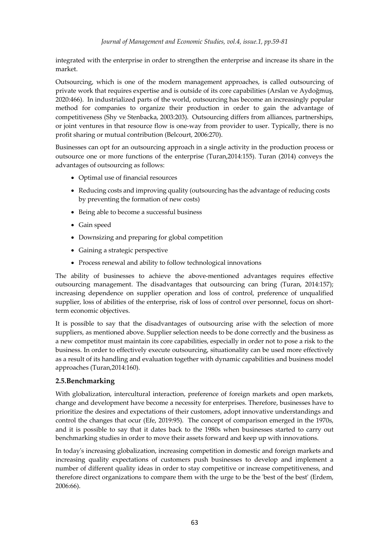integrated with the enterprise in order to strengthen the enterprise and increase its share in the market.

Outsourcing, which is one of the modern management approaches, is called outsourcing of private work that requires expertise and is outside of its core capabilities (Arslan ve Aydoğmuş, 2020:466). In industrialized parts of the world, outsourcing has become an increasingly popular method for companies to organize their production in order to gain the advantage of competitiveness (Shy ve Stenbacka, 2003:203). Outsourcing differs from alliances, partnerships, or joint ventures in that resource flow is one-way from provider to user. Typically, there is no profit sharing or mutual contribution (Belcourt, 2006:270).

Businesses can opt for an outsourcing approach in a single activity in the production process or outsource one or more functions of the enterprise (Turan,2014:155). Turan (2014) conveys the advantages of outsourcing as follows:

- Optimal use of financial resources
- Reducing costs and improving quality (outsourcing has the advantage of reducing costs by preventing the formation of new costs)
- Being able to become a successful business
- Gain speed
- Downsizing and preparing for global competition
- Gaining a strategic perspective
- Process renewal and ability to follow technological innovations

The ability of businesses to achieve the above-mentioned advantages requires effective outsourcing management. The disadvantages that outsourcing can bring (Turan, 2014:157); increasing dependence on supplier operation and loss of control, preference of unqualified supplier, loss of abilities of the enterprise, risk of loss of control over personnel, focus on shortterm economic objectives.

It is possible to say that the disadvantages of outsourcing arise with the selection of more suppliers, as mentioned above. Supplier selection needs to be done correctly and the business as a new competitor must maintain its core capabilities, especially in order not to pose a risk to the business. In order to effectively execute outsourcing, situationality can be used more effectively as a result of its handling and evaluation together with dynamic capabilities and business model approaches (Turan,2014:160).

## **2.5.Benchmarking**

With globalization, intercultural interaction, preference of foreign markets and open markets, change and development have become a necessity for enterprises. Therefore, businesses have to prioritize the desires and expectations of their customers, adopt innovative understandings and control the changes that ocur (Efe, 2019:95). The concept of comparison emerged in the 1970s, and it is possible to say that it dates back to the 1980s when businesses started to carry out benchmarking studies in order to move their assets forward and keep up with innovations.

In today's increasing globalization, increasing competition in domestic and foreign markets and increasing quality expectations of customers push businesses to develop and implement a number of different quality ideas in order to stay competitive or increase competitiveness, and therefore direct organizations to compare them with the urge to be the 'best of the best' (Erdem, 2006:66).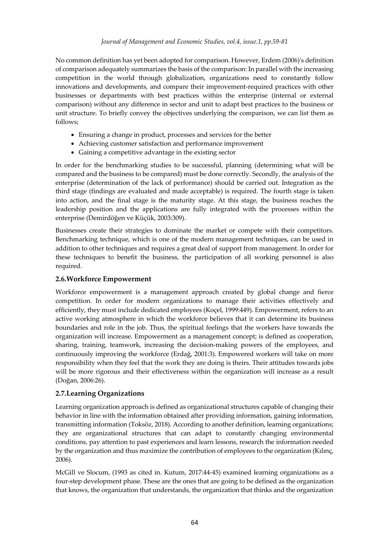No common definition has yet been adopted for comparison. However, Erdem (2006)'s definition of comparison adequately summarizes the basis of the comparison: In parallel with the increasing competition in the world through globalization, organizations need to constantly follow innovations and developments, and compare their improvement-required practices with other businesses or departments with best practices within the enterprise (internal or external comparison) without any difference in sector and unit to adapt best practices to the business or unit structure. To briefly convey the objectives underlying the comparison, we can list them as follows;

- Ensuring a change in product, processes and services for the better
- Achieving customer satisfaction and performance improvement
- Gaining a competitive advantage in the existing sector

In order for the benchmarking studies to be successful, planning (determining what will be compared and the business to be compared) must be done correctly. Secondly, the analysis of the enterprise (determination of the lack of performance) should be carried out. Integration as the third stage (findings are evaluated and made acceptable) is required. The fourth stage is taken into action, and the final stage is the maturity stage. At this stage, the business reaches the leadership position and the applications are fully integrated with the processes within the enterprise (Demirdöğen ve Küçük, 2003:309).

Businesses create their strategies to dominate the market or compete with their competitors. Benchmarking technique, which is one of the modern management techniques, can be used in addition to other techniques and requires a great deal of support from management. In order for these techniques to benefit the business, the participation of all working personnel is also required.

## **2.6.Workforce Empowerment**

Workforce empowerment is a management approach created by global change and fierce competition. In order for modern organizations to manage their activities effectively and efficiently, they must include dedicated employees (Koçel, 1999:449). Empowerment, refers to an active working atmosphere in which the workforce believes that it can determine its business boundaries and role in the job. Thus, the spiritual feelings that the workers have towards the organization will increase. Empowerment as a management concept; is defined as cooperation, sharing, training, teamwork, increasing the decision-making powers of the employees, and continuously improving the workforce (Erdağ, 2001:3). Empowered workers will take on more responsibility when they feel that the work they are doing is theirs. Their attitudes towards jobs will be more rigorous and their effectiveness within the organization will increase as a result (Doğan, 2006:26).

## **2.7.Learning Organizations**

Learning organization approach is defined as organizational structures capable of changing their behavior in line with the information obtained after providing information, gaining information, transmitting information (Toksöz, 2018). According to another definition, learning organizations; they are organizational structures that can adapt to constantly changing environmental conditions, pay attention to past experiences and learn lessons, research the information needed by the organization and thus maximize the contribution of employees to the organization (Kılınç, 2006).

McGill ve Slocum, (1993 as cited in. Kutum, 2017:44-45) examined learning organizations as a four-step development phase. These are the ones that are going to be defined as the organization that knows, the organization that understands, the organization that thinks and the organization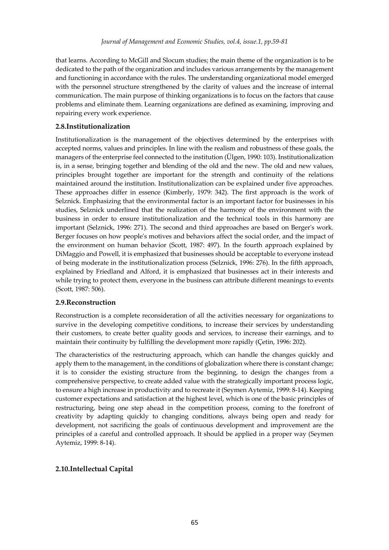that learns. According to McGill and Slocum studies; the main theme of the organization is to be dedicated to the path of the organization and includes various arrangements by the management and functioning in accordance with the rules. The understanding organizational model emerged with the personnel structure strengthened by the clarity of values and the increase of internal communication. The main purpose of thinking organizations is to focus on the factors that cause problems and eliminate them. Learning organizations are defined as examining, improving and repairing every work experience.

## **2.8.Institutionalization**

Institutionalization is the management of the objectives determined by the enterprises with accepted norms, values and principles. In line with the realism and robustness of these goals, the managers of the enterprise feel connected to the institution (Ülgen, 1990: 103). Institutionalization is, in a sense, bringing together and blending of the old and the new. The old and new values, principles brought together are important for the strength and continuity of the relations maintained around the institution. Institutionalization can be explained under five approaches. These approaches differ in essence (Kimberly, 1979: 342). The first approach is the work of Selznick. Emphasizing that the environmental factor is an important factor for businesses in his studies, Selznick underlined that the realization of the harmony of the environment with the business in order to ensure institutionalization and the technical tools in this harmony are important (Selznick, 1996: 271). The second and third approaches are based on Berger's work. Berger focuses on how people's motives and behaviors affect the social order, and the impact of the environment on human behavior (Scott, 1987: 497). In the fourth approach explained by DiMaggio and Powell, it is emphasized that businesses should be acceptable to everyone instead of being moderate in the institutionalization process (Selznick, 1996: 276). In the fifth approach, explained by Friedland and Alford, it is emphasized that businesses act in their interests and while trying to protect them, everyone in the business can attribute different meanings to events (Scott, 1987: 506).

## **2.9.Reconstruction**

Reconstruction is a complete reconsideration of all the activities necessary for organizations to survive in the developing competitive conditions, to increase their services by understanding their customers, to create better quality goods and services, to increase their earnings, and to maintain their continuity by fulfilling the development more rapidly (Çetin, 1996: 202).

The characteristics of the restructuring approach, which can handle the changes quickly and apply them to the management, in the conditions of globalization where there is constant change; it is to consider the existing structure from the beginning, to design the changes from a comprehensive perspective, to create added value with the strategically important process logic, to ensure a high increase in productivity and to recreate it (Seymen Aytemiz, 1999: 8-14). Keeping customer expectations and satisfaction at the highest level, which is one of the basic principles of restructuring, being one step ahead in the competition process, coming to the forefront of creativity by adapting quickly to changing conditions, always being open and ready for development, not sacrificing the goals of continuous development and improvement are the principles of a careful and controlled approach. It should be applied in a proper way (Seymen Aytemiz, 1999: 8-14).

## **2.10.Intellectual Capital**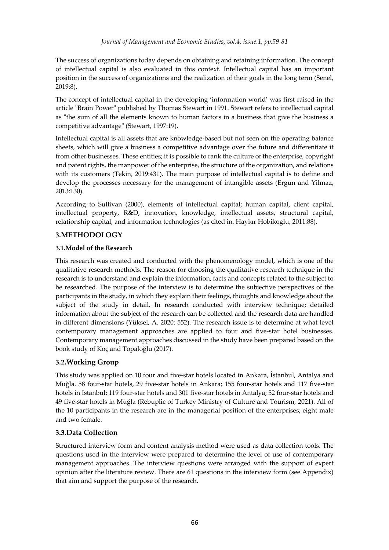The success of organizations today depends on obtaining and retaining information. The concept of intellectual capital is also evaluated in this context. Intellectual capital has an important position in the success of organizations and the realization of their goals in the long term (Senel, 2019:8).

The concept of intellectual capital in the developing 'information world' was first raised in the article "Brain Power" published by Thomas Stewart in 1991. Stewart refers to intellectual capital as "the sum of all the elements known to human factors in a business that give the business a competitive advantage" (Stewart, 1997:19).

Intellectual capital is all assets that are knowledge-based but not seen on the operating balance sheets, which will give a business a competitive advantage over the future and differentiate it from other businesses. These entities; it is possible to rank the culture of the enterprise, copyright and patent rights, the manpower of the enterprise, the structure of the organization, and relations with its customers (Tekin, 2019:431). The main purpose of intellectual capital is to define and develop the processes necessary for the management of intangible assets (Ergun and Yilmaz, 2013:130).

According to Sullivan (2000), elements of intellectual capital; human capital, client capital, intellectual property, R&D, innovation, knowledge, intellectual assets, structural capital, relationship capital, and information technologies (as cited in. Haykır Hobikoglu, 2011:88).

## **3.METHODOLOGY**

## **3.1.Model of the Research**

This research was created and conducted with the phenomenology model, which is one of the qualitative research methods. The reason for choosing the qualitative research technique in the research is to understand and explain the information, facts and concepts related to the subject to be researched. The purpose of the interview is to determine the subjective perspectives of the participants in the study, in which they explain their feelings, thoughts and knowledge about the subject of the study in detail. In research conducted with interview technique; detailed information about the subject of the research can be collected and the research data are handled in different dimensions (Yüksel, A. 2020: 552). The research issue is to determine at what level contemporary management approaches are applied to four and five-star hotel businesses. Contemporary management approaches discussed in the study have been prepared based on the book study of Koç and Topaloğlu (2017).

## **3.2.Working Group**

This study was applied on 10 four and five-star hotels located in Ankara, İstanbul, Antalya and Muğla. 58 four-star hotels, 29 five-star hotels in Ankara; 155 four-star hotels and 117 five-star hotels in Istanbul; 119 four-star hotels and 301 five-star hotels in Antalya; 52 four-star hotels and 49 five-star hotels in Muğla (Rebuplic of Turkey Ministry of Culture and Tourism, 2021). All of the 10 participants in the research are in the managerial position of the enterprises; eight male and two female.

## **3.3.Data Collection**

Structured interview form and content analysis method were used as data collection tools. The questions used in the interview were prepared to determine the level of use of contemporary management approaches. The interview questions were arranged with the support of expert opinion after the literature review. There are 61 questions in the interview form (see Appendix) that aim and support the purpose of the research.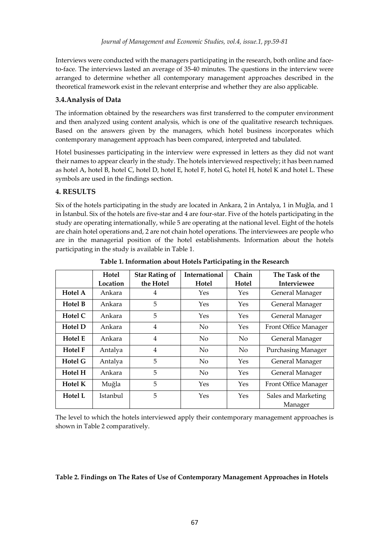Interviews were conducted with the managers participating in the research, both online and faceto-face. The interviews lasted an average of 35-40 minutes. The questions in the interview were arranged to determine whether all contemporary management approaches described in the theoretical framework exist in the relevant enterprise and whether they are also applicable.

#### **3.4.Analysis of Data**

The information obtained by the researchers was first transferred to the computer environment and then analyzed using content analysis, which is one of the qualitative research techniques. Based on the answers given by the managers, which hotel business incorporates which contemporary management approach has been compared, interpreted and tabulated.

Hotel businesses participating in the interview were expressed in letters as they did not want their names to appear clearly in the study. The hotels interviewed respectively; it has been named as hotel A, hotel B, hotel C, hotel D, hotel E, hotel F, hotel G, hotel H, hotel K and hotel L. These symbols are used in the findings section.

#### **4. RESULTS**

Six of the hotels participating in the study are located in Ankara, 2 in Antalya, 1 in Muğla, and 1 in İstanbul. Six of the hotels are five-star and 4 are four-star. Five of the hotels participating in the study are operating internationally, while 5 are operating at the national level. Eight of the hotels are chain hotel operations and, 2 are not chain hotel operations. The interviewees are people who are in the managerial position of the hotel establishments. Information about the hotels participating in the study is available in Table 1.

|                | Hotel<br>Location | <b>Star Rating of</b><br>the Hotel | <b>International</b><br>Hotel | Chain<br>Hotel | The Task of the<br>Interviewee |
|----------------|-------------------|------------------------------------|-------------------------------|----------------|--------------------------------|
| <b>Hotel A</b> | Ankara            | $\overline{4}$                     | Yes                           | <b>Yes</b>     | General Manager                |
| <b>Hotel B</b> | Ankara            | 5                                  | Yes                           | <b>Yes</b>     | General Manager                |
| Hotel C        | Ankara            | 5                                  | Yes                           | <b>Yes</b>     | General Manager                |
| <b>Hotel D</b> | Ankara            | $\overline{4}$                     | N <sub>0</sub>                | Yes            | <b>Front Office Manager</b>    |
| <b>Hotel E</b> | Ankara            | $\overline{4}$                     | No                            | N <sub>o</sub> | General Manager                |
| <b>Hotel F</b> | Antalya           | $\overline{4}$                     | No                            | No.            | Purchasing Manager             |
| <b>Hotel G</b> | Antalya           | 5                                  | No                            | <b>Yes</b>     | General Manager                |
| <b>Hotel H</b> | Ankara            | 5                                  | No                            | <b>Yes</b>     | General Manager                |
| Hotel K        | Muğla             | 5                                  | Yes                           | Yes            | Front Office Manager           |
| <b>Hotel L</b> | Istanbul          | 5                                  | Yes                           | <b>Yes</b>     | Sales and Marketing<br>Manager |

**Table 1. Information about Hotels Participating in the Research**

The level to which the hotels interviewed apply their contemporary management approaches is shown in Table 2 comparatively.

#### **Table 2. Findings on The Rates of Use of Contemporary Management Approaches in Hotels**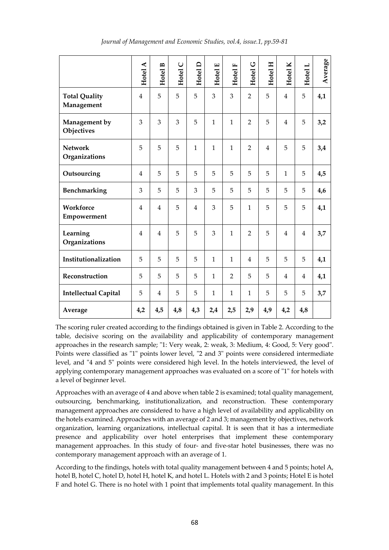|                                    | Hotel A        | B<br>Hotel     | $\cup$<br>Hotel | $\Box$<br>Hotel | $\blacksquare$<br>Hotel | Hotel F        | ں<br>Hotel     | Hotel H        | Hotel K        | L<br>Hotel     | Average |
|------------------------------------|----------------|----------------|-----------------|-----------------|-------------------------|----------------|----------------|----------------|----------------|----------------|---------|
| <b>Total Quality</b><br>Management | $\overline{4}$ | 5              | 5               | 5               | 3                       | 3              | $\overline{2}$ | 5              | $\overline{4}$ | 5              | 4,1     |
| Management by<br>Objectives        | $\overline{3}$ | 3              | 3               | 5               | $\mathbf{1}$            | $\mathbf{1}$   | $\overline{2}$ | 5              | $\overline{4}$ | 5              | 3,2     |
| <b>Network</b><br>Organizations    | 5              | 5              | 5               | $\mathbf{1}$    | $\mathbf{1}$            | $\mathbf{1}$   | $\overline{2}$ | $\overline{4}$ | 5              | 5              | 3,4     |
| Outsourcing                        | $\overline{4}$ | 5              | 5               | 5               | 5                       | 5              | 5              | 5              | 1              | 5              | 4,5     |
| Benchmarking                       | 3              | 5              | 5               | 3               | 5                       | 5              | 5              | 5              | 5              | 5              | 4,6     |
| Workforce<br>Empowerment           | $\overline{4}$ | $\overline{4}$ | 5               | $\overline{4}$  | $\overline{3}$          | 5              | $\mathbf{1}$   | 5              | 5              | 5              | 4,1     |
| Learning<br>Organizations          | $\overline{4}$ | $\overline{4}$ | 5               | 5               | 3                       | $\mathbf{1}$   | $\overline{2}$ | 5              | $\overline{4}$ | $\overline{4}$ | 3,7     |
| Institutionalization               | 5              | 5              | 5               | 5               | $\mathbf{1}$            | $\mathbf{1}$   | $\overline{4}$ | 5              | 5              | 5              | 4,1     |
| Reconstruction                     | 5              | 5              | 5               | 5               | $\mathbf{1}$            | $\overline{2}$ | 5              | 5              | $\overline{4}$ | $\overline{4}$ | 4,1     |
| <b>Intellectual Capital</b>        | 5              | $\overline{4}$ | 5               | 5               | $\mathbf{1}$            | $\mathbf{1}$   | $\mathbf{1}$   | 5              | 5              | 5              | 3,7     |
| Average                            | 4,2            | 4,5            | 4,8             | 4,3             | 2,4                     | 2,5            | 2,9            | 4,9            | 4,2            | 4,8            |         |

*Journal of Management and Economic Studies, vol.4, issue.1, pp.59-81*

The scoring ruler created according to the findings obtained is given in Table 2. According to the table, decisive scoring on the availability and applicability of contemporary management approaches in the research sample; "1: Very weak, 2: weak, 3: Medium, 4: Good, 5: Very good". Points were classified as "1" points lower level, "2 and 3" points were considered intermediate level, and "4 and 5" points were considered high level. In the hotels interviewed, the level of applying contemporary management approaches was evaluated on a score of "1" for hotels with a level of beginner level.

Approaches with an average of 4 and above when table 2 is examined; total quality management, outsourcing, benchmarking, institutionalization, and reconstruction. These contemporary management approaches are considered to have a high level of availability and applicability on the hotels examined. Approaches with an average of 2 and 3; management by objectives, network organization, learning organizations, intellectual capital. It is seen that it has a intermediate presence and applicability over hotel enterprises that implement these contemporary management approaches. In this study of four- and five-star hotel businesses, there was no contemporary management approach with an average of 1.

According to the findings, hotels with total quality management between 4 and 5 points; hotel A, hotel B, hotel C, hotel D, hotel H, hotel K, and hotel L. Hotels with 2 and 3 points; Hotel E is hotel F and hotel G. There is no hotel with 1 point that implements total quality management. In this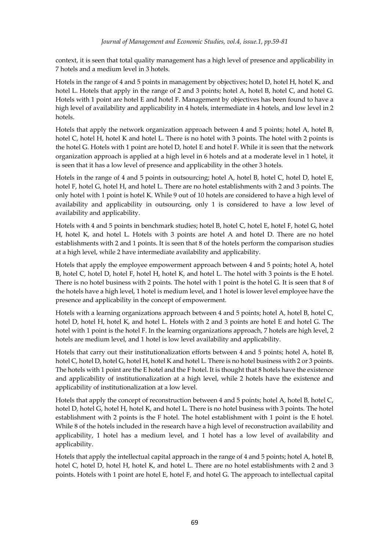context, it is seen that total quality management has a high level of presence and applicability in 7 hotels and a medium level in 3 hotels.

Hotels in the range of 4 and 5 points in management by objectives; hotel D, hotel H, hotel K, and hotel L. Hotels that apply in the range of 2 and 3 points; hotel A, hotel B, hotel C, and hotel G. Hotels with 1 point are hotel E and hotel F. Management by objectives has been found to have a high level of availability and applicability in 4 hotels, intermediate in 4 hotels, and low level in 2 hotels.

Hotels that apply the network organization approach between 4 and 5 points; hotel A, hotel B, hotel C, hotel H, hotel K and hotel L. There is no hotel with 3 points. The hotel with 2 points is the hotel G. Hotels with 1 point are hotel D, hotel E and hotel F. While it is seen that the network organization approach is applied at a high level in 6 hotels and at a moderate level in 1 hotel, it is seen that it has a low level of presence and applicability in the other 3 hotels.

Hotels in the range of 4 and 5 points in outsourcing; hotel A, hotel B, hotel C, hotel D, hotel E, hotel F, hotel G, hotel H, and hotel L. There are no hotel establishments with 2 and 3 points. The only hotel with 1 point is hotel K. While 9 out of 10 hotels are considered to have a high level of availability and applicability in outsourcing, only 1 is considered to have a low level of availability and applicability.

Hotels with 4 and 5 points in benchmark studies; hotel B, hotel C, hotel E, hotel F, hotel G, hotel H, hotel K, and hotel L. Hotels with 3 points are hotel A and hotel D. There are no hotel establishments with 2 and 1 points. It is seen that 8 of the hotels perform the comparison studies at a high level, while 2 have intermediate availability and applicability.

Hotels that apply the employee empowerment approach between 4 and 5 points; hotel A, hotel B, hotel C, hotel D, hotel F, hotel H, hotel K, and hotel L. The hotel with 3 points is the E hotel. There is no hotel business with 2 points. The hotel with 1 point is the hotel G. It is seen that 8 of the hotels have a high level, 1 hotel is medium level, and 1 hotel is lower level employee have the presence and applicability in the concept of empowerment.

Hotels with a learning organizations approach between 4 and 5 points; hotel A, hotel B, hotel C, hotel D, hotel H, hotel K, and hotel L. Hotels with 2 and 3 points are hotel E and hotel G. The hotel with 1 point is the hotel F. In the learning organizations approach, 7 hotels are high level, 2 hotels are medium level, and 1 hotel is low level availability and applicability.

Hotels that carry out their institutionalization efforts between 4 and 5 points; hotel A, hotel B, hotel C, hotel D, hotel G, hotel H, hotel K and hotel L. There is no hotel business with 2 or 3 points. The hotels with 1 point are the E hotel and the F hotel. It is thought that 8 hotels have the existence and applicability of institutionalization at a high level, while 2 hotels have the existence and applicability of institutionalization at a low level.

Hotels that apply the concept of reconstruction between 4 and 5 points; hotel A, hotel B, hotel C, hotel D, hotel G, hotel H, hotel K, and hotel L. There is no hotel business with 3 points. The hotel establishment with 2 points is the F hotel. The hotel establishment with 1 point is the E hotel. While 8 of the hotels included in the research have a high level of reconstruction availability and applicability, 1 hotel has a medium level, and 1 hotel has a low level of availability and applicability.

Hotels that apply the intellectual capital approach in the range of 4 and 5 points; hotel A, hotel B, hotel C, hotel D, hotel H, hotel K, and hotel L. There are no hotel establishments with 2 and 3 points. Hotels with 1 point are hotel E, hotel F, and hotel G. The approach to intellectual capital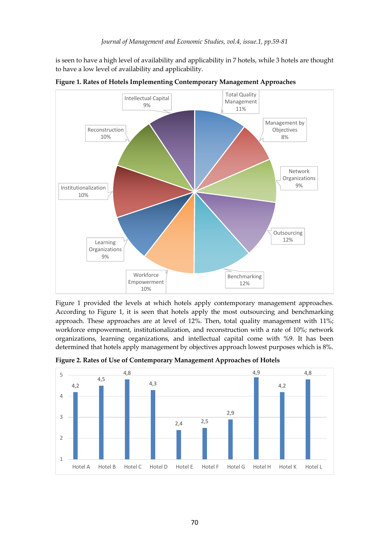is seen to have a high level of availability and applicability in 7 hotels, while 3 hotels are thought to have a low level of availability and applicability.



**Figure 1. Rates of Hotels Implementing Contemporary Management Approaches**

Figure 1 provided the levels at which hotels apply contemporary management approaches. According to Figure 1, it is seen that hotels apply the most outsourcing and benchmarking approach. These approaches are at level of 12%. Then, total quality management with 11%; workforce empowerment, institutionalization, and reconstruction with a rate of 10%; network organizations, learning organizations, and intellectual capital come with %9. It has been determined that hotels apply management by objectives approach lowest purposes which is 8%.

**Figure 2. Rates of Use of Contemporary Management Approaches of Hotels**

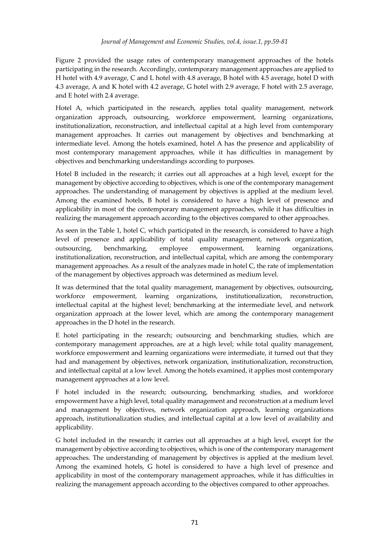Figure 2 provided the usage rates of contemporary management approaches of the hotels participating in the research. Accordingly, contemporary management approaches are applied to H hotel with 4.9 average, C and L hotel with 4.8 average, B hotel with 4.5 average, hotel D with 4.3 average, A and K hotel with 4.2 average, G hotel with 2.9 average, F hotel with 2.5 average, and E hotel with 2.4 average.

Hotel A, which participated in the research, applies total quality management, network organization approach, outsourcing, workforce empowerment, learning organizations, institutionalization, reconstruction, and intellectual capital at a high level from contemporary management approaches. It carries out management by objectives and benchmarking at intermediate level. Among the hotels examined, hotel A has the presence and applicability of most contemporary management approaches, while it has difficulties in management by objectives and benchmarking understandings according to purposes.

Hotel B included in the research; it carries out all approaches at a high level, except for the management by objective according to objectives, which is one of the contemporary management approaches. The understanding of management by objectives is applied at the medium level. Among the examined hotels, B hotel is considered to have a high level of presence and applicability in most of the contemporary management approaches, while it has difficulties in realizing the management approach according to the objectives compared to other approaches.

As seen in the Table 1, hotel C, which participated in the research, is considered to have a high level of presence and applicability of total quality management, network organization, outsourcing, benchmarking, employee empowerment, learning organizations, institutionalization, reconstruction, and intellectual capital, which are among the contemporary management approaches. As a result of the analyzes made in hotel C, the rate of implementation of the management by objectives approach was determined as medium level.

It was determined that the total quality management, management by objectives, outsourcing, workforce empowerment, learning organizations, institutionalization, reconstruction, intellectual capital at the highest level; benchmarking at the intermediate level, and network organization approach at the lower level, which are among the contemporary management approaches in the D hotel in the research.

E hotel participating in the research; outsourcing and benchmarking studies, which are contemporary management approaches, are at a high level; while total quality management, workforce empowerment and learning organizations were intermediate, it turned out that they had and management by objectives, network organization, institutionalization, reconstruction, and intellectual capital at a low level. Among the hotels examined, it applies most contemporary management approaches at a low level.

F hotel included in the research; outsourcing, benchmarking studies, and workforce empowerment have a high level, total quality management and reconstruction at a medium level and management by objectives, network organization approach, learning organizations approach, institutionalization studies, and intellectual capital at a low level of availability and applicability.

G hotel included in the research; it carries out all approaches at a high level, except for the management by objective according to objectives, which is one of the contemporary management approaches. The understanding of management by objectives is applied at the medium level. Among the examined hotels, G hotel is considered to have a high level of presence and applicability in most of the contemporary management approaches, while it has difficulties in realizing the management approach according to the objectives compared to other approaches.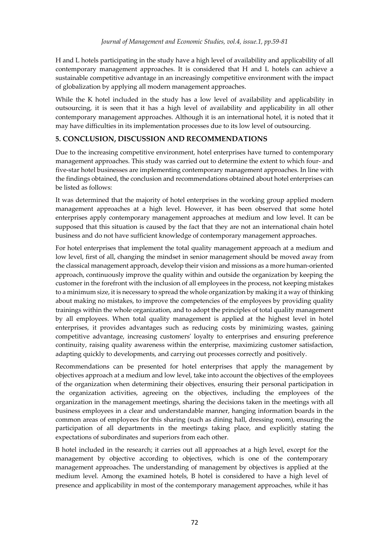H and L hotels participating in the study have a high level of availability and applicability of all contemporary management approaches. It is considered that H and L hotels can achieve a sustainable competitive advantage in an increasingly competitive environment with the impact of globalization by applying all modern management approaches.

While the K hotel included in the study has a low level of availability and applicability in outsourcing, it is seen that it has a high level of availability and applicability in all other contemporary management approaches. Although it is an international hotel, it is noted that it may have difficulties in its implementation processes due to its low level of outsourcing.

## **5. CONCLUSION, DISCUSSION AND RECOMMENDATIONS**

Due to the increasing competitive environment, hotel enterprises have turned to contemporary management approaches. This study was carried out to determine the extent to which four- and five-star hotel businesses are implementing contemporary management approaches. In line with the findings obtained, the conclusion and recommendations obtained about hotel enterprises can be listed as follows:

It was determined that the majority of hotel enterprises in the working group applied modern management approaches at a high level. However, it has been observed that some hotel enterprises apply contemporary management approaches at medium and low level. It can be supposed that this situation is caused by the fact that they are not an international chain hotel business and do not have sufficient knowledge of contemporary management approaches.

For hotel enterprises that implement the total quality management approach at a medium and low level, first of all, changing the mindset in senior management should be moved away from the classical management approach, develop their vision and missions as a more human-oriented approach, continuously improve the quality within and outside the organization by keeping the customer in the forefront with the inclusion of all employees in the process, not keeping mistakes to a minimum size, it is necessary to spread the whole organization by making it a way of thinking about making no mistakes, to improve the competencies of the employees by providing quality trainings within the whole organization, and to adopt the principles of total quality management by all employees. When total quality management is applied at the highest level in hotel enterprises, it provides advantages such as reducing costs by minimizing wastes, gaining competitive advantage, increasing customers' loyalty to enterprises and ensuring preference continuity, raising quality awareness within the enterprise, maximizing customer satisfaction, adapting quickly to developments, and carrying out processes correctly and positively.

Recommendations can be presented for hotel enterprises that apply the management by objectives approach at a medium and low level, take into account the objectives of the employees of the organization when determining their objectives, ensuring their personal participation in the organization activities, agreeing on the objectives, including the employees of the organization in the management meetings, sharing the decisions taken in the meetings with all business employees in a clear and understandable manner, hanging information boards in the common areas of employees for this sharing (such as dining hall, dressing room), ensuring the participation of all departments in the meetings taking place, and explicitly stating the expectations of subordinates and superiors from each other.

B hotel included in the research; it carries out all approaches at a high level, except for the management by objective according to objectives, which is one of the contemporary management approaches. The understanding of management by objectives is applied at the medium level. Among the examined hotels, B hotel is considered to have a high level of presence and applicability in most of the contemporary management approaches, while it has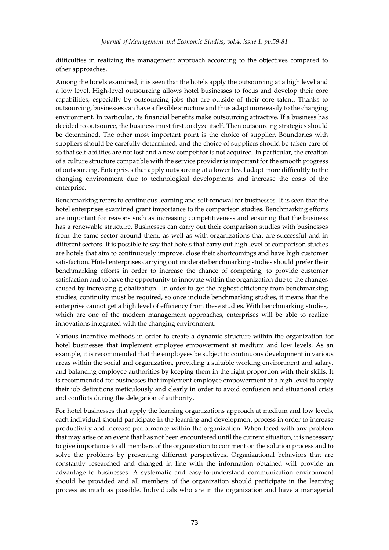difficulties in realizing the management approach according to the objectives compared to other approaches.

Among the hotels examined, it is seen that the hotels apply the outsourcing at a high level and a low level. High-level outsourcing allows hotel businesses to focus and develop their core capabilities, especially by outsourcing jobs that are outside of their core talent. Thanks to outsourcing, businesses can have a flexible structure and thus adapt more easily to the changing environment. In particular, its financial benefits make outsourcing attractive. If a business has decided to outsource, the business must first analyze itself. Then outsourcing strategies should be determined. The other most important point is the choice of supplier. Boundaries with suppliers should be carefully determined, and the choice of suppliers should be taken care of so that self-abilities are not lost and a new competitor is not acquired. In particular, the creation of a culture structure compatible with the service provider is important for the smooth progress of outsourcing. Enterprises that apply outsourcing at a lower level adapt more difficultly to the changing environment due to technological developments and increase the costs of the enterprise.

Benchmarking refers to continuous learning and self-renewal for businesses. It is seen that the hotel enterprises examined grant importance to the comparison studies. Benchmarking efforts are important for reasons such as increasing competitiveness and ensuring that the business has a renewable structure. Businesses can carry out their comparison studies with businesses from the same sector around them, as well as with organizations that are successful and in different sectors. It is possible to say that hotels that carry out high level of comparison studies are hotels that aim to continuously improve, close their shortcomings and have high customer satisfaction. Hotel enterprises carrying out moderate benchmarking studies should prefer their benchmarking efforts in order to increase the chance of competing, to provide customer satisfaction and to have the opportunity to innovate within the organization due to the changes caused by increasing globalization. In order to get the highest efficiency from benchmarking studies, continuity must be required, so once include benchmarking studies, it means that the enterprise cannot get a high level of efficiency from these studies. With benchmarking studies, which are one of the modern management approaches, enterprises will be able to realize innovations integrated with the changing environment.

Various incentive methods in order to create a dynamic structure within the organization for hotel businesses that implement employee empowerment at medium and low levels. As an example, it is recommended that the employees be subject to continuous development in various areas within the social and organization, providing a suitable working environment and salary, and balancing employee authorities by keeping them in the right proportion with their skills. It is recommended for businesses that implement employee empowerment at a high level to apply their job definitions meticulously and clearly in order to avoid confusion and situational crisis and conflicts during the delegation of authority.

For hotel businesses that apply the learning organizations approach at medium and low levels, each individual should participate in the learning and development process in order to increase productivity and increase performance within the organization. When faced with any problem that may arise or an event that has not been encountered until the current situation, it is necessary to give importance to all members of the organization to comment on the solution process and to solve the problems by presenting different perspectives. Organizational behaviors that are constantly researched and changed in line with the information obtained will provide an advantage to businesses. A systematic and easy-to-understand communication environment should be provided and all members of the organization should participate in the learning process as much as possible. Individuals who are in the organization and have a managerial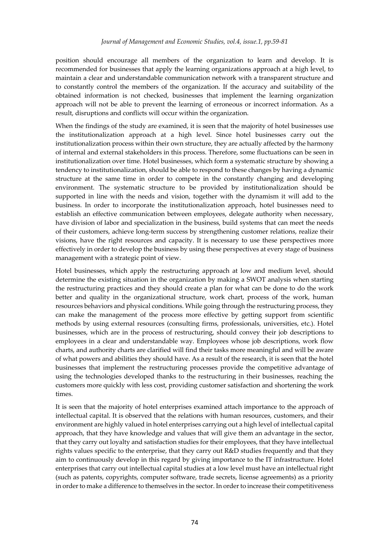position should encourage all members of the organization to learn and develop. It is recommended for businesses that apply the learning organizations approach at a high level, to maintain a clear and understandable communication network with a transparent structure and to constantly control the members of the organization. If the accuracy and suitability of the obtained information is not checked, businesses that implement the learning organization approach will not be able to prevent the learning of erroneous or incorrect information. As a result, disruptions and conflicts will occur within the organization.

When the findings of the study are examined, it is seen that the majority of hotel businesses use the institutionalization approach at a high level. Since hotel businesses carry out the institutionalization process within their own structure, they are actually affected by the harmony of internal and external stakeholders in this process. Therefore, some fluctuations can be seen in institutionalization over time. Hotel businesses, which form a systematic structure by showing a tendency to institutionalization, should be able to respond to these changes by having a dynamic structure at the same time in order to compete in the constantly changing and developing environment. The systematic structure to be provided by institutionalization should be supported in line with the needs and vision, together with the dynamism it will add to the business. In order to incorporate the institutionalization approach, hotel businesses need to establish an effective communication between employees, delegate authority when necessary, have division of labor and specialization in the business, build systems that can meet the needs of their customers, achieve long-term success by strengthening customer relations, realize their visions, have the right resources and capacity. It is necessary to use these perspectives more effectively in order to develop the business by using these perspectives at every stage of business management with a strategic point of view.

Hotel businesses, which apply the restructuring approach at low and medium level, should determine the existing situation in the organization by making a SWOT analysis when starting the restructuring practices and they should create a plan for what can be done to do the work better and quality in the organizational structure, work chart, process of the work, human resources behaviors and physical conditions. While going through the restructuring process, they can make the management of the process more effective by getting support from scientific methods by using external resources (consulting firms, professionals, universities, etc.). Hotel businesses, which are in the process of restructuring, should convey their job descriptions to employees in a clear and understandable way. Employees whose job descriptions, work flow charts, and authority charts are clarified will find their tasks more meaningful and will be aware of what powers and abilities they should have. As a result of the research, it is seen that the hotel businesses that implement the restructuring processes provide the competitive advantage of using the technologies developed thanks to the restructuring in their businesses, reaching the customers more quickly with less cost, providing customer satisfaction and shortening the work times.

It is seen that the majority of hotel enterprises examined attach importance to the approach of intellectual capital. It is observed that the relations with human resources, customers, and their environment are highly valued in hotel enterprises carrying out a high level of intellectual capital approach, that they have knowledge and values that will give them an advantage in the sector, that they carry out loyalty and satisfaction studies for their employees, that they have intellectual rights values specific to the enterprise, that they carry out R&D studies frequently and that they aim to continuously develop in this regard by giving importance to the IT infrastructure. Hotel enterprises that carry out intellectual capital studies at a low level must have an intellectual right (such as patents, copyrights, computer software, trade secrets, license agreements) as a priority in order to make a difference to themselves in the sector. In order to increase their competitiveness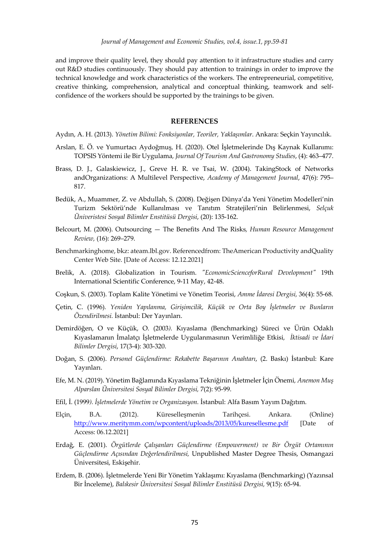and improve their quality level, they should pay attention to it infrastructure studies and carry out R&D studies continuously. They should pay attention to trainings in order to improve the technical knowledge and work characteristics of the workers. The entrepreneurial, competitive, creative thinking, comprehension, analytical and conceptual thinking, teamwork and selfconfidence of the workers should be supported by the trainings to be given.

#### **REFERENCES**

Aydın, A. H. (2013). *Yönetim Bilimi: Fonksiyonlar, Teoriler, Yaklaşımlar*. Ankara: Seçkin Yayıncılık.

- Arslan, E. Ö. ve Yumurtacı Aydoğmuş, H. (2020). Otel İşletmelerinde Dış Kaynak Kullanımı: TOPSIS Yöntemi ile Bir Uygulama*, Journal Of Tourism And Gastronomy Studies*, (4): 463–477.
- Brass, D. J., Galaskiewicz, J., Greve H. R. ve Tsai, W. (2004). TakingStock of Networks andOrganizations: A Multilevel Perspective, *Academy of Management Journal*, 47(6): 795– 817.
- Bedük, A., Muammer, Z. ve Abdullah, S. (2008). Değişen Dünya'da Yeni Yönetim Modelleri'nin Turizm Sektörü'nde Kullanılması ve Tanıtım Stratejileri'nin Belirlenmesi, *Selçuk Üniveristesi Sosyal Bilimler Enstitüsü Dergisi*, (20): 135-162.
- Belcourt, M. (2006). Outsourcing The Benefits And The Risks*, Human Resource Management Review,* (16): 269–279.
- Benchmarkinghome, bkz: ateam.lbl.gov. Referencedfrom: TheAmerican Productivity andQuality Center Web Site. [Date of Access: 12.12.2021]
- Brelik, A. (2018). Globalization in Tourism. *"EconomicScienceforRural Development"* 19th International Scientific Conference, 9-11 May, 42-48.
- Coşkun, S. (2003). Toplam Kalite Yönetimi ve Yönetim Teorisi, *Amme İdaresi Dergisi,* 36(4): 55-68.
- Çetin, C. (1996)*. Yeniden Yapılanma, Girişimcilik, Küçük ve Orta Boy İşletmeler ve Bunların Özendirilmesi.* İstanbul: Der Yayınları.
- Demirdöğen, O ve Küçük, O. (2003*).* Kıyaslama (Benchmarking) Süreci ve Ürün Odaklı Kıyaslamanın İmalatçı İşletmelerde Uygulanmasının Verimliliğe Etkisi*, İktisadi ve İdari Bilimler Dergisi*, 17(3-4): 303-320.
- Doğan, S. (2006). *Personel Güçlendirme: Rekabette Başarının Anahtarı*, (2. Baskı) İstanbul: Kare Yayınları.
- Efe, M. N. (2019). Yönetim Bağlamında Kıyaslama Tekniğinin İşletmeler İçin Önemi*, Anemon Muş Alparslan Üniversitesi Sosyal Bilimler Dergisi,* 7(2): 95-99.
- Efil, İ. (1999*). İşletmelerde Yönetim ve Organizasyon.* İstanbul: Alfa Basım Yayım Dağıtım.
- Elçin, B.A. (2012). Küreselleşmenin Tarihçesi. Ankara. (Online) http://www.meritymm.com/wpcontent/uploads/2013/05/kuresellesme.pdf [Date of Access: 06.12.2021]
- Erdağ, E. (2001). *Örgütlerde Çalışanları Güçlendirme (Empowerment) ve Bir Örgüt Ortamının Güçlendirme Açısından Değerlendirilmesi,* Unpublished Master Degree Thesis, Osmangazi Üniversitesi, Eskişehir.
- Erdem, B. (2006). İşletmelerde Yeni Bir Yönetim Yaklaşımı: Kıyaslama (Benchmarking) (Yazınsal Bir İnceleme), *Balıkesir Üniversitesi Sosyal Bilimler Enstitüsü Dergisi,* 9(15): 65-94.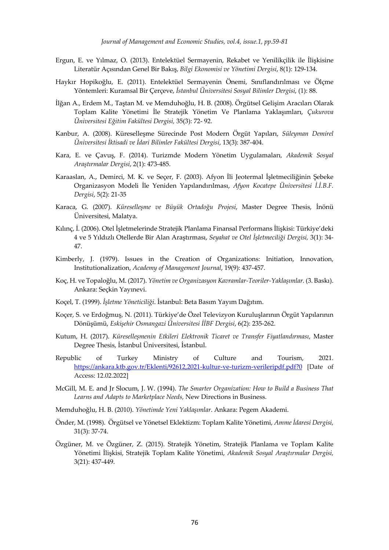- Ergun, E. ve Yılmaz, O. (2013). Entelektüel Sermayenin, Rekabet ve Yenilikçilik ile İlişkisine Literatür Açısından Genel Bir Bakış, *Bilgi Ekonomisi ve Yönetimi Dergisi*, 8(1): 129-134.
- Haykır Hopikoğlu, E. (2011). Entelektüel Sermayenin Önemi, Sınıflandırılması ve Ölçme Yöntemleri: Kuramsal Bir Çerçeve, *İstanbul Üniversitesi Sosyal Bilimler Dergisi*, (1): 88.
- İlğan A., Erdem M., Taştan M. ve Memduhoğlu, H. B. (2008). Örgütsel Gelişim Aracıları Olarak Toplam Kalite Yönetimi İle Stratejik Yönetim Ve Planlama Yaklaşımları, *Çukurova Üniversitesi Eğitim Fakültesi Dergisi,* 35(3): 72- 92.
- Kanbur, A. (2008). Küreselleşme Sürecinde Post Modern Örgüt Yapıları, *Süleyman Demirel Üniversitesi İktisadi ve İdari Bilimler Fakültesi Dergisi*, 13(3): 387-404.
- Kara, E. ve Çavuş, F. (2014). Turizmde Modern Yönetim Uygulamaları*, Akademik Sosyal Araştırmalar Dergisi*, 2(1): 473-485.
- Karaaslan, A., Demirci, M. K. ve Seçer, F. (2003). Afyon İli Jeotermal İşletmeciliğinin Şebeke Organizasyon Modeli İle Yeniden Yapılandırılması, *Afyon Kocatepe Üniversitesi İ.İ.B.F. Dergisi*, 5(2): 21-35
- Karaca, G. (2007). *Küreselleşme ve Büyük Ortadoğu Projesi*, Master Degree Thesis, İnönü Üniversitesi, Malatya.
- Kılınç, İ. (2006). Otel İşletmelerinde Stratejik Planlama Finansal Performans İlişkisi: Türkiye'deki 4 ve 5 Yıldızlı Otellerde Bir Alan Araştırması, *Seyahat ve Otel İşletmeciliği Dergisi,* 3(1): 34- 47.
- Kimberly, J. (1979). Issues in the Creation of Organizations: Initiation, Innovation, Institutionalization, *Academy of Management Journal*, 19(9): 437-457.
- Koç, H. ve Topaloğlu, M. (2017). *Yönetim ve Organizasyon Kavramlar-Teoriler-Yaklaşımlar.* (3. Baskı). Ankara: Seçkin Yayınevi.
- Koçel, T. (1999). *İşletme Yöneticiliği*. İstanbul: Beta Basım Yayım Dağıtım.
- Koçer, S. ve Erdoğmuş, N. (2011). Türkiye'de Özel Televizyon Kuruluşlarının Örgüt Yapılarının Dönüşümü, *Eskişehir Osmangazi Üniversitesi İİBF Dergisi*, 6(2): 235-262.
- Kutum, H. (2017). *Küreselleşmenin Etkileri Elektronik Ticaret ve Transfer Fiyatlandırması*, Master Degree Thesis, İstanbul Üniversitesi, İstanbul.
- Republic of Turkey Ministry of Culture and Tourism, 2021. https://ankara.ktb.gov.tr/Eklenti/92612,2021-kultur-ve-turizm-verileripdf.pdf?0 [Date of Access: 12.02.2022]
- McGill, M. E. and Jr Slocum, J. W. (1994). *The Smarter Organization: How to Build a Business That Learns and Adapts to Marketplace Needs,* New Directions in Business.
- Memduhoğlu, H. B. (2010). *Yönetimde Yeni Yaklaşımlar*. Ankara: Pegem Akademi.
- Önder, M. (1998). Örgütsel ve Yönetsel Eklektizm: Toplam Kalite Yönetimi, *Amme İdaresi Dergisi,* 31(3): 37-74.
- Özgüner, M. ve Özgüner, Z. (2015). Stratejik Yönetim, Stratejik Planlama ve Toplam Kalite Yönetimi İlişkisi, Stratejik Toplam Kalite Yönetimi, *Akademik Sosyal Araştırmalar Dergisi,* 3(21): 437-449.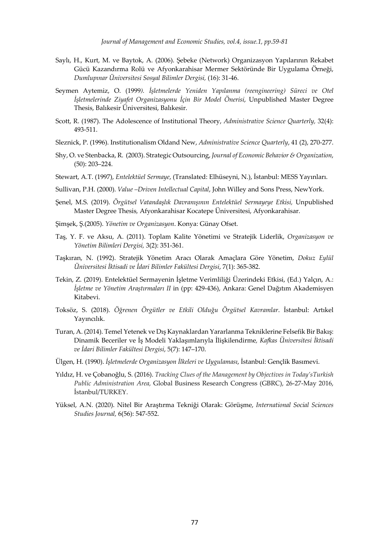*Journal of Management and Economic Studies, vol.4, issue.1, pp.59-81*

- Saylı, H., Kurt, M. ve Baytok, A. (2006). Şebeke (Network) Organizasyon Yapılarının Rekabet Gücü Kazandırma Rolü ve Afyonkarahisar Mermer Sektöründe Bir Uygulama Örneği, *Dumlupınar Üniversitesi Sosyal Bilimler Dergisi,* (16): 31-46.
- Seymen Aytemiz, O. (1999*). İşletmelerde Yeniden Yapılanma (reengineering) Süreci ve Otel İşletmelerinde Ziyafet Organizasyonu İçin Bir Model Önerisi*, Unpublished Master Degree Thesis, Balıkesir Üniversitesi, Balıkesir.
- Scott, R. (1987). The Adolescence of Institutional Theory, *Administrative Science Quarterly,* 32(4): 493-511.
- Sleznick, P. (1996). Institutionalism Oldand New, *Administrative Science Quarterly*, 41 (2), 270-277.
- Shy, O. ve Stenbacka, R. (2003). Strategic Outsourcing, *Journal of Economic Behavior & Organization*, (50): 203–224.
- Stewart, A.T. (1997), *Entelektüel Sermaye*, (Translated: Elhüseyni, N.), İstanbul: MESS Yayınları.
- Sullivan, P.H. (2000). *Value –Driven Intellectual Capital*, John Willey and Sons Press, NewYork.
- Şenel, M.S. (2019). *Örgütsel Vatandaşlık Davranışının Entelektüel Sermayeye Etkisi,* Unpublished Master Degree Thesis*,* Afyonkarahisar Kocatepe Üniversitesi, Afyonkarahisar.
- Şimşek, Ş.(2005). *Yönetim ve Organizasyon*. Konya: Günay Ofset.
- Taş, Y. F. ve Aksu, A. (2011). Toplam Kalite Yönetimi ve Stratejik Liderlik, *Organizasyon ve Yönetim Bilimleri Dergisi,* 3(2): 351-361.
- Taşkıran, N. (1992). Stratejik Yönetim Aracı Olarak Amaçlara Göre Yönetim, *Dokuz Eylül Üniversitesi İktisadi ve İdari Bilimler Fakültesi Dergisi*, 7(1): 365-382.
- Tekin, Z. (2019). Entelektüel Sermayenin İşletme Verimliliği Üzerindeki Etkisi, (Ed.) Yalçın, A.: *İşletme ve Yönetim Araştırmaları II* in (pp: 429-436), Ankara: Genel Dağıtım Akademisyen Kitabevi.
- Toksöz, S. (2018). *Öğrenen Örgütler ve Etkili Olduğu Örgütsel Kavramlar*. İstanbul: Artıkel Yayıncılık.
- Turan, A. (2014). Temel Yetenek ve Dış Kaynaklardan Yararlanma Tekniklerine Felsefik Bir Bakış: Dinamik Beceriler ve İş Modeli Yaklaşımlarıyla İlişkilendirme*, Kafkas Üniversitesi İktisadi ve İdari Bilimler Fakültesi Dergisi*, 5(7): 147–170.
- Ülgen, H. (1990). *İşletmelerde Organizasyon İlkeleri ve Uygulaması*, İstanbul: Gençlik Basımevi.
- Yıldız, H. ve Çobanoğlu, S. (2016). *Tracking Clues of the Management by Objectives in Today'sTurkish Public Administration Area,* Global Business Research Congress (GBRC), 26-27-May 2016, İstanbul/TURKEY.
- Yüksel, A.N. (2020). Nitel Bir Araştırma Tekniği Olarak: Görüşme, *International Social Sciences Studies Journal,* 6(56): 547-552.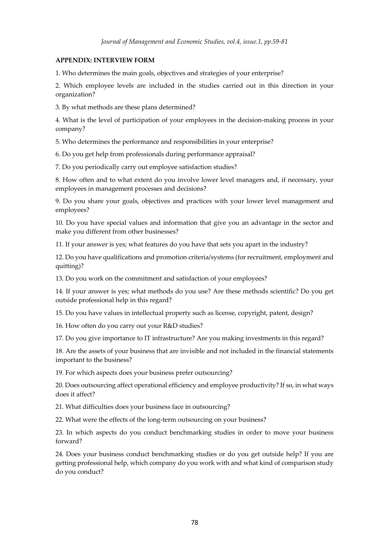#### **APPENDIX: INTERVIEW FORM**

1. Who determines the main goals, objectives and strategies of your enterprise?

2. Which employee levels are included in the studies carried out in this direction in your organization?

3. By what methods are these plans determined?

4. What is the level of participation of your employees in the decision-making process in your company?

5. Who determines the performance and responsibilities in your enterprise?

6. Do you get help from professionals during performance appraisal?

7. Do you periodically carry out employee satisfaction studies?

8. How often and to what extent do you involve lower level managers and, if necessary, your employees in management processes and decisions?

9. Do you share your goals, objectives and practices with your lower level management and employees?

10. Do you have special values and information that give you an advantage in the sector and make you different from other businesses?

11. If your answer is yes; what features do you have that sets you apart in the industry?

12. Do you have qualifications and promotion criteria/systems (for recruitment, employment and quitting)?

13. Do you work on the commitment and satisfaction of your employees?

14. If your answer is yes; what methods do you use? Are these methods scientific? Do you get outside professional help in this regard?

15. Do you have values in intellectual property such as license, copyright, patent, design?

16. How often do you carry out your R&D studies?

17. Do you give importance to IT infrastructure? Are you making investments in this regard?

18. Are the assets of your business that are invisible and not included in the financial statements important to the business?

19. For which aspects does your business prefer outsourcing?

20. Does outsourcing affect operational efficiency and employee productivity? If so, in what ways does it affect?

21. What difficulties does your business face in outsourcing?

22. What were the effects of the long-term outsourcing on your business?

23. In which aspects do you conduct benchmarking studies in order to move your business forward?

24. Does your business conduct benchmarking studies or do you get outside help? If you are getting professional help, which company do you work with and what kind of comparison study do you conduct?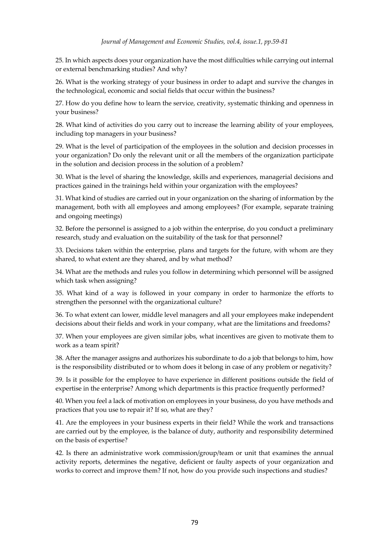25. In which aspects does your organization have the most difficulties while carrying out internal or external benchmarking studies? And why?

26. What is the working strategy of your business in order to adapt and survive the changes in the technological, economic and social fields that occur within the business?

27. How do you define how to learn the service, creativity, systematic thinking and openness in your business?

28. What kind of activities do you carry out to increase the learning ability of your employees, including top managers in your business?

29. What is the level of participation of the employees in the solution and decision processes in your organization? Do only the relevant unit or all the members of the organization participate in the solution and decision process in the solution of a problem?

30. What is the level of sharing the knowledge, skills and experiences, managerial decisions and practices gained in the trainings held within your organization with the employees?

31. What kind of studies are carried out in your organization on the sharing of information by the management, both with all employees and among employees? (For example, separate training and ongoing meetings)

32. Before the personnel is assigned to a job within the enterprise, do you conduct a preliminary research, study and evaluation on the suitability of the task for that personnel?

33. Decisions taken within the enterprise, plans and targets for the future, with whom are they shared, to what extent are they shared, and by what method?

34. What are the methods and rules you follow in determining which personnel will be assigned which task when assigning?

35. What kind of a way is followed in your company in order to harmonize the efforts to strengthen the personnel with the organizational culture?

36. To what extent can lower, middle level managers and all your employees make independent decisions about their fields and work in your company, what are the limitations and freedoms?

37. When your employees are given similar jobs, what incentives are given to motivate them to work as a team spirit?

38. After the manager assigns and authorizes his subordinate to do a job that belongs to him, how is the responsibility distributed or to whom does it belong in case of any problem or negativity?

39. Is it possible for the employee to have experience in different positions outside the field of expertise in the enterprise? Among which departments is this practice frequently performed?

40. When you feel a lack of motivation on employees in your business, do you have methods and practices that you use to repair it? If so, what are they?

41. Are the employees in your business experts in their field? While the work and transactions are carried out by the employee, is the balance of duty, authority and responsibility determined on the basis of expertise?

42. Is there an administrative work commission/group/team or unit that examines the annual activity reports, determines the negative, deficient or faulty aspects of your organization and works to correct and improve them? If not, how do you provide such inspections and studies?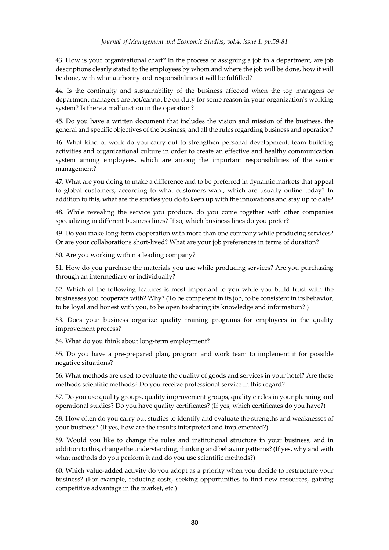43. How is your organizational chart? In the process of assigning a job in a department, are job descriptions clearly stated to the employees by whom and where the job will be done, how it will be done, with what authority and responsibilities it will be fulfilled?

44. Is the continuity and sustainability of the business affected when the top managers or department managers are not/cannot be on duty for some reason in your organization's working system? Is there a malfunction in the operation?

45. Do you have a written document that includes the vision and mission of the business, the general and specific objectives of the business, and all the rules regarding business and operation?

46. What kind of work do you carry out to strengthen personal development, team building activities and organizational culture in order to create an effective and healthy communication system among employees, which are among the important responsibilities of the senior management?

47. What are you doing to make a difference and to be preferred in dynamic markets that appeal to global customers, according to what customers want, which are usually online today? In addition to this, what are the studies you do to keep up with the innovations and stay up to date?

48. While revealing the service you produce, do you come together with other companies specializing in different business lines? If so, which business lines do you prefer?

49. Do you make long-term cooperation with more than one company while producing services? Or are your collaborations short-lived? What are your job preferences in terms of duration?

50. Are you working within a leading company?

51. How do you purchase the materials you use while producing services? Are you purchasing through an intermediary or individually?

52. Which of the following features is most important to you while you build trust with the businesses you cooperate with? Why? (To be competent in its job, to be consistent in its behavior, to be loyal and honest with you, to be open to sharing its knowledge and information? )

53. Does your business organize quality training programs for employees in the quality improvement process?

54. What do you think about long-term employment?

55. Do you have a pre-prepared plan, program and work team to implement it for possible negative situations?

56. What methods are used to evaluate the quality of goods and services in your hotel? Are these methods scientific methods? Do you receive professional service in this regard?

57. Do you use quality groups, quality improvement groups, quality circles in your planning and operational studies? Do you have quality certificates? (If yes, which certificates do you have?)

58. How often do you carry out studies to identify and evaluate the strengths and weaknesses of your business? (If yes, how are the results interpreted and implemented?)

59. Would you like to change the rules and institutional structure in your business, and in addition to this, change the understanding, thinking and behavior patterns? (If yes, why and with what methods do you perform it and do you use scientific methods?)

60. Which value-added activity do you adopt as a priority when you decide to restructure your business? (For example, reducing costs, seeking opportunities to find new resources, gaining competitive advantage in the market, etc.)